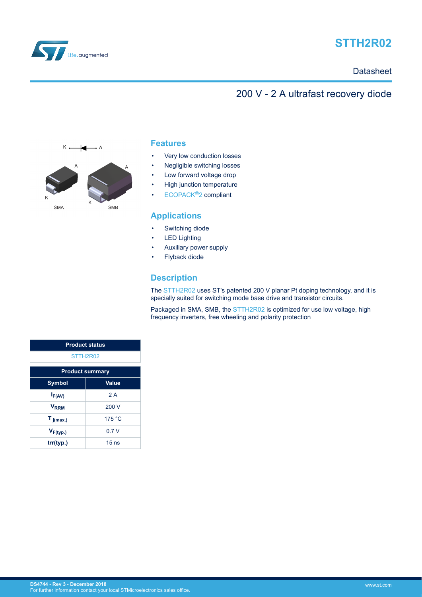

# **STTH2R02**

### **Datasheet**

## 200 V - 2 A ultrafast recovery diode



### **Features**

- Very low conduction losses
- Negligible switching losses
- Low forward voltage drop
- High junction temperature
- [ECOPACK](https://www.st.com/ecopack)®2 compliant

### **Applications**

- Switching diode
- **LED Lighting**
- Auxiliary power supply
- Flyback diode

### **Description**

The [STTH2R02](http://www.st.com/en/product/stth2r02) uses ST's patented 200 V planar Pt doping technology, and it is specially suited for switching mode base drive and transistor circuits.

Packaged in SMA, SMB, the [STTH2R02](http://www.st.com/en/product/stth2r02) is optimized for use low voltage, high frequency inverters, free wheeling and polarity protection

| <b>Product status</b>  |                  |  |
|------------------------|------------------|--|
| STTH2R02               |                  |  |
| <b>Product summary</b> |                  |  |
| <b>Symbol</b>          | <b>Value</b>     |  |
| $I_{F(AV)}$            | 2A               |  |
| $V_{\rm RRM}$          | 200 V            |  |
| $T_{j(max.)}$          | 175 °C           |  |
| $V_{F(typ.)}$          | 07V              |  |
| trr(typ.)              | 15 <sub>ns</sub> |  |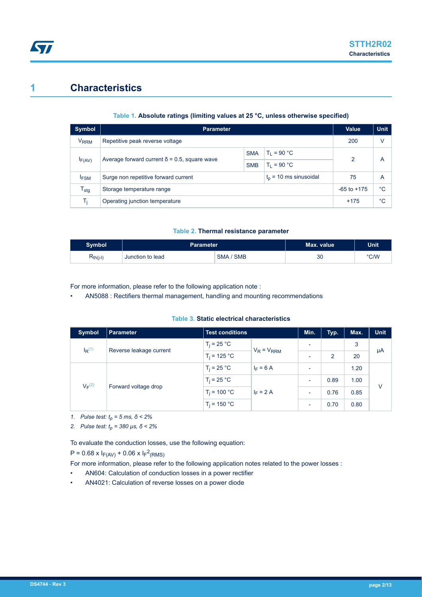## **1 Characteristics**

**STI** 

### **Table 1. Absolute ratings (limiting values at 25 °C, unless otherwise specified)**

| Symbol                 | <b>Parameter</b>                                                  |            |               | Value           | <b>Unit</b> |
|------------------------|-------------------------------------------------------------------|------------|---------------|-----------------|-------------|
| <b>V<sub>RRM</sub></b> | Repetitive peak reverse voltage                                   |            |               | 200             | ٧           |
|                        |                                                                   | <b>SMA</b> | $T_1 = 90 °C$ | $\mathcal{P}$   | A           |
| $I_{F(AV)}$            | Average forward current $\delta$ = 0.5, square wave<br><b>SMB</b> |            | $T_1 = 90 °C$ |                 |             |
| <b>IFSM</b>            | $t_0$ = 10 ms sinusoidal<br>Surge non repetitive forward current  |            |               | 75              | A           |
| $T_{\text{stg}}$       | Storage temperature range                                         |            |               | $-65$ to $+175$ | °C          |
| Ti                     | Operating junction temperature                                    |            |               | $+175$          | °C          |

#### **Table 2. Thermal resistance parameter**

| <b>Symbol</b>        | Parameter        |                    | Max. value | <b>Unit</b> |
|----------------------|------------------|--------------------|------------|-------------|
| K <sub>th(j-l)</sub> | Junction to lead | <b>SMB</b><br>SMA/ | 30         | °C/W        |

For more information, please refer to the following application note :

• AN5088 : Rectifiers thermal management, handling and mounting recommendations

#### **Table 3. Static electrical characteristics**

| <b>Symbol</b>        | Parameter               | <b>Test conditions</b> |                 | Min.                     | Typ. | Max. | <b>Unit</b> |
|----------------------|-------------------------|------------------------|-----------------|--------------------------|------|------|-------------|
| $I_R$ <sup>(1)</sup> | Reverse leakage current | $T_i = 25 °C$          | $V_R = V_{RRM}$ | ٠                        |      | 3    | μA          |
|                      |                         | $T_i = 125 °C$         |                 |                          | 2    | 20   |             |
| $V_F(2)$             | Forward voltage drop    | $T_i = 25 °C$          | $I_F = 6 A$     | $\overline{\phantom{0}}$ |      | 1.20 |             |
|                      |                         | $T_i = 25 °C$          | $I_F = 2 A$     | $\overline{\phantom{0}}$ | 0.89 | 1.00 | $\vee$      |
|                      |                         | $T_i = 100 °C$         |                 | ٠                        | 0.76 | 0.85 |             |
|                      |                         | $T_i = 150 °C$         |                 | $\overline{\phantom{a}}$ | 0.70 | 0.80 |             |

*1. Pulse test: tp = 5 ms, δ < 2%*

*2. Pulse test: tp = 380 µs, δ < 2%*

To evaluate the conduction losses, use the following equation:

 $P = 0.68 \times I_{F(AV)} + 0.06 \times I_{F}^{2}(RMS)$ 

For more information, please refer to the following application notes related to the power losses :

- AN604: Calculation of conduction losses in a power rectifier
- AN4021: Calculation of reverse losses on a power diode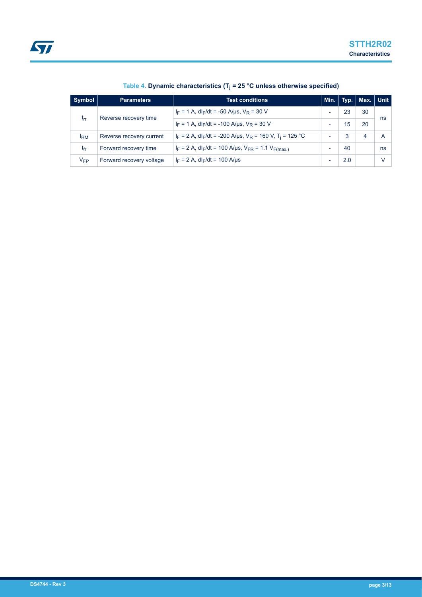| Symbol                                   | <b>Parameters</b>                                          | <b>Test conditions</b>                                                                  | Min.                     | Typ. | Max. Unit |    |
|------------------------------------------|------------------------------------------------------------|-----------------------------------------------------------------------------------------|--------------------------|------|-----------|----|
|                                          |                                                            | $I_F = 1$ A, dl <sub>F</sub> /dt = -50 A/µs, V <sub>R</sub> = 30 V                      |                          | 23   | 30        | ns |
| Reverse recovery time<br>t <sub>rr</sub> | $I_F = 1$ A, dl <sub>F</sub> /dt = -100 A/us, $V_R = 30$ V | $\overline{\phantom{0}}$                                                                | 15                       | 20   |           |    |
| <b>IRM</b>                               | Reverse recovery current                                   | $I_F = 2$ A, dl <sub>F</sub> /dt = -200 A/us, $V_R = 160$ V, T <sub>i</sub> = 125 °C    | ۰                        | 3    | 4         | A  |
| tfr                                      | Forward recovery time                                      | $I_F = 2$ A, dl <sub>F</sub> /dt = 100 A/µs, V <sub>FR</sub> = 1.1 V <sub>F(max.)</sub> | $\overline{\phantom{0}}$ | 40   |           | ns |
| $V_{FP}$                                 | Forward recovery voltage                                   | $I_F = 2 A$ , dl <sub>F</sub> /dt = 100 A/µs                                            |                          | 2.0  |           | V  |

### **Table 4. Dynamic characteristics (T<sup>j</sup> = 25 °C unless otherwise specified)**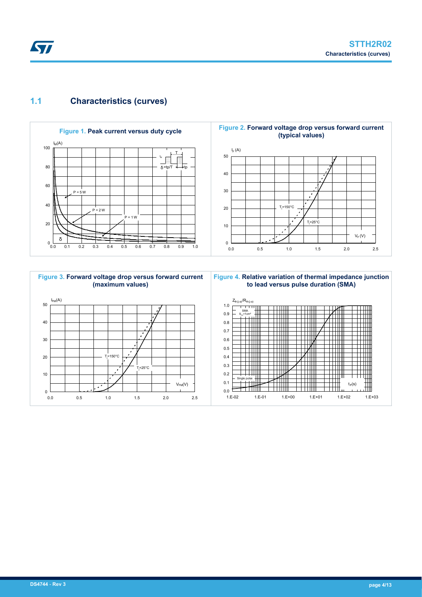### **1.1 Characteristics (curves)**





**Figure 4. Relative variation of thermal impedance junction to lead versus pulse duration (SMA)**

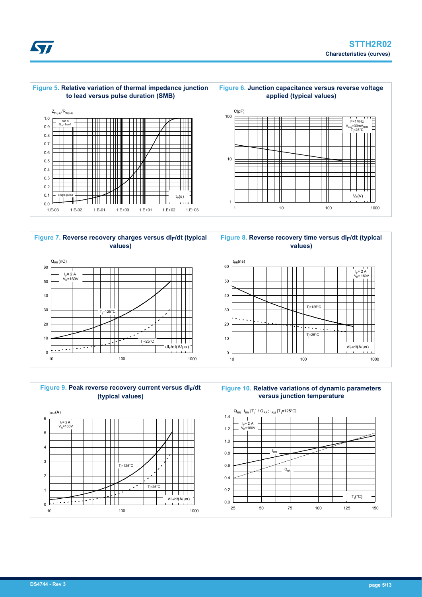





**Figure 8. Reverse recovery time versus dIF/dt (typical values)**



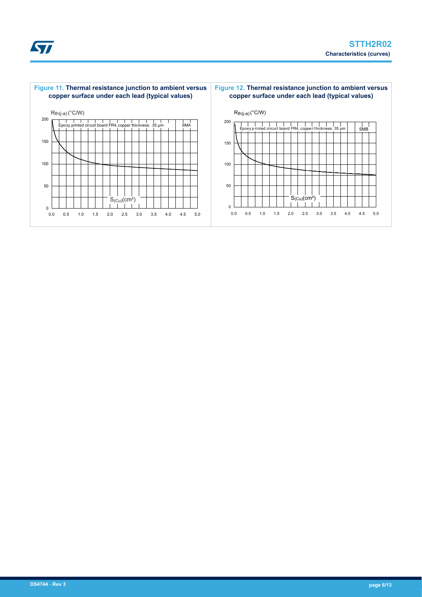



### **DS4744** - **Rev 3 page 6/13**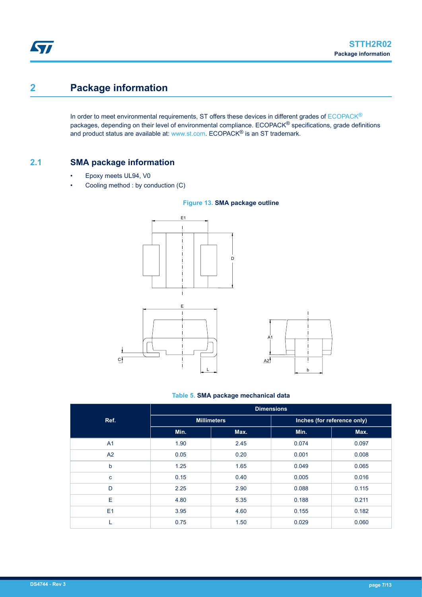# **2 Package information**

In order to meet environmental requirements, ST offers these devices in different grades of [ECOPACK](https://www.st.com/ecopack)® packages, depending on their level of environmental compliance. ECOPACK<sup>®</sup> specifications, grade definitions and product status are available at: [www.st.com.](http://www.st.com) ECOPACK® is an ST trademark.

### **2.1 SMA package information**

- Epoxy meets UL94, V0
- Cooling method : by conduction (C)



#### **Table 5. SMA package mechanical data**

|                | <b>Dimensions</b>  |      |       |                             |  |
|----------------|--------------------|------|-------|-----------------------------|--|
| Ref.           | <b>Millimeters</b> |      |       | Inches (for reference only) |  |
|                | Min.               | Max. | Min.  | Max.                        |  |
| A <sub>1</sub> | 1.90               | 2.45 | 0.074 | 0.097                       |  |
| A2             | 0.05               | 0.20 | 0.001 | 0.008                       |  |
| b              | 1.25               | 1.65 | 0.049 | 0.065                       |  |
| c              | 0.15               | 0.40 | 0.005 | 0.016                       |  |
| D              | 2.25               | 2.90 | 0.088 | 0.115                       |  |
| E              | 4.80               | 5.35 | 0.188 | 0.211                       |  |
| E1             | 3.95               | 4.60 | 0.155 | 0.182                       |  |
|                | 0.75               | 1.50 | 0.029 | 0.060                       |  |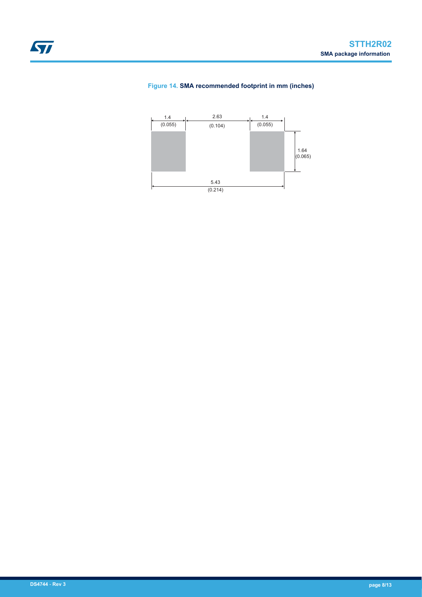

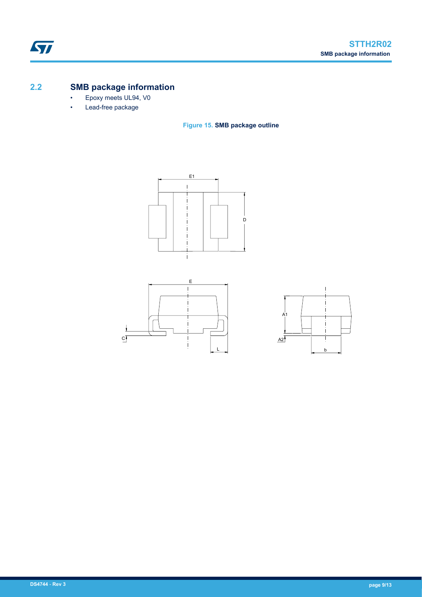## **2.2 SMB package information**

- Epoxy meets UL94, V0
- Lead-free package

**Figure 15. SMB package outline**





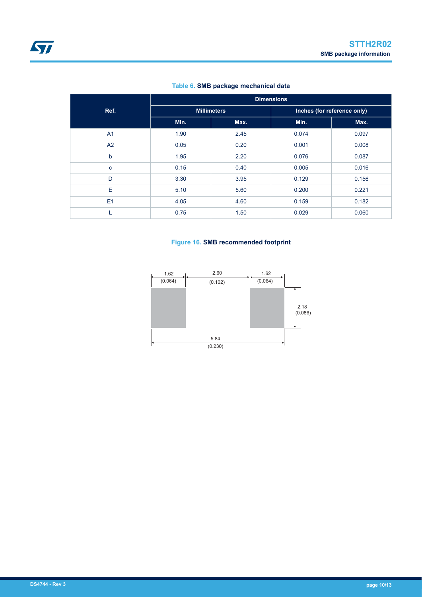### **Table 6. SMB package mechanical data**

|                | <b>Dimensions</b>  |      |                             |       |  |
|----------------|--------------------|------|-----------------------------|-------|--|
| Ref.           | <b>Millimeters</b> |      | Inches (for reference only) |       |  |
|                | Min.               | Max. | Min.                        | Max.  |  |
| A <sub>1</sub> | 1.90               | 2.45 | 0.074                       | 0.097 |  |
| A <sub>2</sub> | 0.05               | 0.20 | 0.001                       | 0.008 |  |
| þ              | 1.95               | 2.20 | 0.076                       | 0.087 |  |
| C              | 0.15               | 0.40 | 0.005                       | 0.016 |  |
| D              | 3.30               | 3.95 | 0.129                       | 0.156 |  |
| Е              | 5.10               | 5.60 | 0.200                       | 0.221 |  |
| E1             | 4.05               | 4.60 | 0.159                       | 0.182 |  |
|                | 0.75               | 1.50 | 0.029                       | 0.060 |  |

#### **Figure 16. SMB recommended footprint**

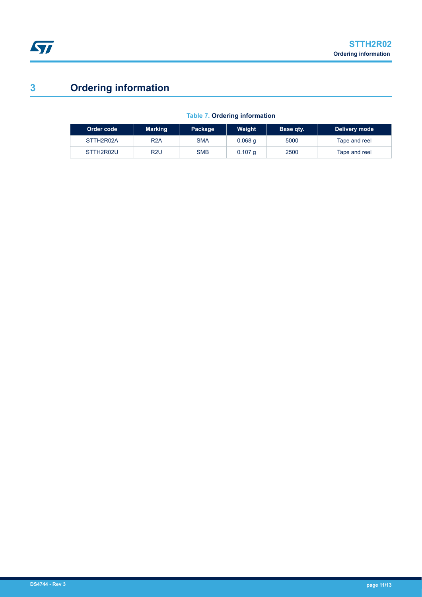# **3 Ordering information**

| Order code | <b>Marking</b>   | Package    | <b>Weight</b> | Base qty. | Delivery mode |
|------------|------------------|------------|---------------|-----------|---------------|
| STTH2R02A  | R <sub>2</sub> A | <b>SMA</b> | $0.068$ q     | 5000      | Tape and reel |
| STTH2R02U  | R2U              | <b>SMB</b> | $0.107$ q     | 2500      | Tape and reel |

### **Table 7. Ordering information**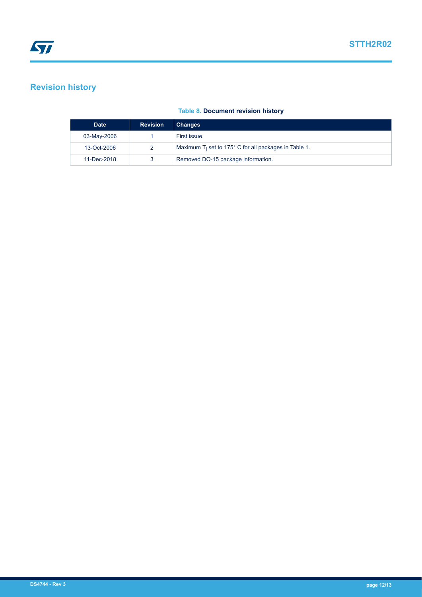## **Revision history**

### **Table 8. Document revision history**

| <b>Date</b> | <b>Revision</b> | <b>Changes</b>                                                    |
|-------------|-----------------|-------------------------------------------------------------------|
| 03-May-2006 |                 | First issue.                                                      |
| 13-Oct-2006 |                 | Maximum $T_i$ set to 175 $\degree$ C for all packages in Table 1. |
| 11-Dec-2018 |                 | Removed DO-15 package information.                                |